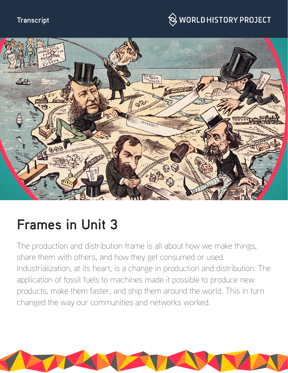#### **Transcript**

## $\hspace{0.1cm}\otimes\hspace{0.1cm}$  WORLD HISTORY PROJECT



# **Frames in Unit 3**

The production and distribution frame is all about how we make things, share them with others, and how they get consumed or used. Industrialization, at its heart, is a change in production and distribution. The application of fossil fuels to machines made it possible to produce new products, make them faster, and ship them around the world. This in turn changed the way our communities and networks worked.

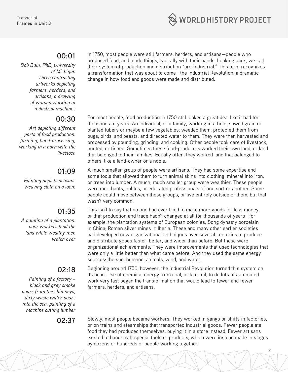

#### **00:01**

*Bob Bain, PhD, University of Michigan Three contrasting artworks depicting farmers, herders, and artisans; a drawing of women working at industrial machines*

#### **00:30**

*Art depicting different parts of food production: farming, hand-processing, working in a barn with the livestock*

#### **01:09**

*Painting depicts artisans weaving cloth on a loom*

### **01:35**

*A painting of a plantation: poor workers tend the land while wealthy men watch over*

#### **02:18**

*Painting of a factory – black and grey smoke pours from the chimneys; dirty waste water pours into the sea; painting of a machine cutting lumber* 

In 1750, most people were still farmers, herders, and artisans—people who produced food, and made things, typically with their hands. Looking back, we call their system of production and distribution "pre-industrial." This term recognizes a transformation that was about to come—the Industrial Revolution, a dramatic change in how food and goods were made and distributed.

For most people, food production in 1750 still looked a great deal like it had for thousands of years. An individual, or a family, working in a field, sowed grain or planted tubers or maybe a few vegetables; weeded them; protected them from bugs, birds, and beasts; and directed water to them. They were then harvested and processed by pounding, grinding, and cooking. Other people took care of livestock, hunted, or fished. Sometimes these food-producers worked their own land, or land that belonged to their families. Equally often, they worked land that belonged to others, like a land-owner or a noble.

A much smaller group of people were artisans. They had some expertise and some tools that allowed them to turn animal skins into clothing, mineral into iron, or trees into lumber. A much, much smaller group were wealthier. These people were merchants, nobles, or educated professionals of one sort or another. Some people could move between these groups, or live entirely outside of them, but that wasn't very common.

This isn't to say that no one had ever tried to make more goods for less money, or that production and trade hadn't changed at all for thousands of years—for example, the plantation systems of European colonies; Song dynasty porcelain in China; Roman silver mines in Iberia. These and many other earlier societies had developed new organizational techniques over several centuries to produce and distribute goods faster, better, and wider than before. But these were organizational achievements. They were improvements that used technologies that were only a little better than what came before. And they used the same energy sources: the sun, humans, animals, wind, and water.

Beginning around 1750, however, the Industrial Revolution turned this system on its head. Use of chemical energy from coal, or later oil, to do lots of automated work very fast began the transformation that would lead to fewer and fewer farmers, herders, and artisans.

**02:37** Slowly, most people became workers. They worked in gangs or shifts in factories, or on trains and steamships that transported industrial goods. Fewer people ate food they had produced themselves, buying it in a store instead. Fewer artisans existed to hand-craft special tools or products, which were instead made in stages by dozens or hundreds of people working together.

2